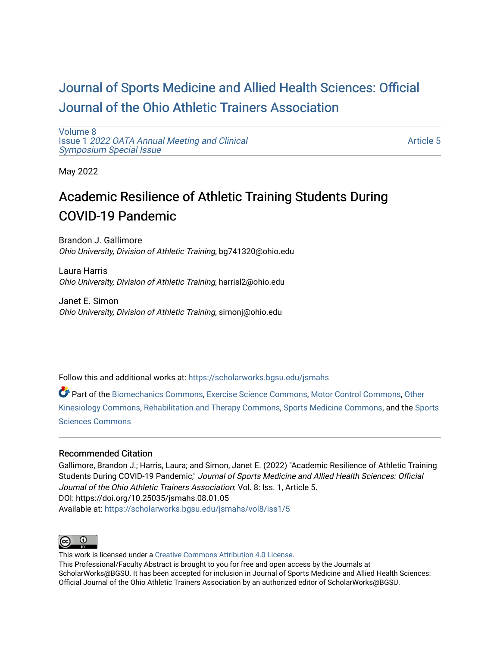# [Journal of Sports Medicine and Allied Health Sciences: Official](https://scholarworks.bgsu.edu/jsmahs)  [Journal of the Ohio Athletic Trainers Association](https://scholarworks.bgsu.edu/jsmahs)

[Volume 8](https://scholarworks.bgsu.edu/jsmahs/vol8) Issue 1 [2022 OATA Annual Meeting and Clinical](https://scholarworks.bgsu.edu/jsmahs/vol8/iss1) [Symposium Special Issue](https://scholarworks.bgsu.edu/jsmahs/vol8/iss1)

[Article 5](https://scholarworks.bgsu.edu/jsmahs/vol8/iss1/5) 

May 2022

# Academic Resilience of Athletic Training Students During COVID-19 Pandemic

Brandon J. Gallimore Ohio University, Division of Athletic Training, bg741320@ohio.edu

Laura Harris Ohio University, Division of Athletic Training, harrisl2@ohio.edu

Janet E. Simon Ohio University, Division of Athletic Training, simonj@ohio.edu

Follow this and additional works at: [https://scholarworks.bgsu.edu/jsmahs](https://scholarworks.bgsu.edu/jsmahs?utm_source=scholarworks.bgsu.edu%2Fjsmahs%2Fvol8%2Fiss1%2F5&utm_medium=PDF&utm_campaign=PDFCoverPages)

Part of the [Biomechanics Commons,](https://network.bepress.com/hgg/discipline/43?utm_source=scholarworks.bgsu.edu%2Fjsmahs%2Fvol8%2Fiss1%2F5&utm_medium=PDF&utm_campaign=PDFCoverPages) [Exercise Science Commons](https://network.bepress.com/hgg/discipline/1091?utm_source=scholarworks.bgsu.edu%2Fjsmahs%2Fvol8%2Fiss1%2F5&utm_medium=PDF&utm_campaign=PDFCoverPages), [Motor Control Commons](https://network.bepress.com/hgg/discipline/45?utm_source=scholarworks.bgsu.edu%2Fjsmahs%2Fvol8%2Fiss1%2F5&utm_medium=PDF&utm_campaign=PDFCoverPages), [Other](https://network.bepress.com/hgg/discipline/47?utm_source=scholarworks.bgsu.edu%2Fjsmahs%2Fvol8%2Fiss1%2F5&utm_medium=PDF&utm_campaign=PDFCoverPages)  [Kinesiology Commons,](https://network.bepress.com/hgg/discipline/47?utm_source=scholarworks.bgsu.edu%2Fjsmahs%2Fvol8%2Fiss1%2F5&utm_medium=PDF&utm_campaign=PDFCoverPages) [Rehabilitation and Therapy Commons](https://network.bepress.com/hgg/discipline/749?utm_source=scholarworks.bgsu.edu%2Fjsmahs%2Fvol8%2Fiss1%2F5&utm_medium=PDF&utm_campaign=PDFCoverPages), [Sports Medicine Commons](https://network.bepress.com/hgg/discipline/1331?utm_source=scholarworks.bgsu.edu%2Fjsmahs%2Fvol8%2Fiss1%2F5&utm_medium=PDF&utm_campaign=PDFCoverPages), and the [Sports](https://network.bepress.com/hgg/discipline/759?utm_source=scholarworks.bgsu.edu%2Fjsmahs%2Fvol8%2Fiss1%2F5&utm_medium=PDF&utm_campaign=PDFCoverPages)  [Sciences Commons](https://network.bepress.com/hgg/discipline/759?utm_source=scholarworks.bgsu.edu%2Fjsmahs%2Fvol8%2Fiss1%2F5&utm_medium=PDF&utm_campaign=PDFCoverPages) 

#### Recommended Citation

Gallimore, Brandon J.; Harris, Laura; and Simon, Janet E. (2022) "Academic Resilience of Athletic Training Students During COVID-19 Pandemic," Journal of Sports Medicine and Allied Health Sciences: Official Journal of the Ohio Athletic Trainers Association: Vol. 8: Iss. 1, Article 5. DOI: https://doi.org/10.25035/jsmahs.08.01.05 Available at: [https://scholarworks.bgsu.edu/jsmahs/vol8/iss1/5](https://scholarworks.bgsu.edu/jsmahs/vol8/iss1/5?utm_source=scholarworks.bgsu.edu%2Fjsmahs%2Fvol8%2Fiss1%2F5&utm_medium=PDF&utm_campaign=PDFCoverPages)



This work is licensed under a [Creative Commons Attribution 4.0 License](https://creativecommons.org/licenses/by/4.0/). This Professional/Faculty Abstract is brought to you for free and open access by the Journals at ScholarWorks@BGSU. It has been accepted for inclusion in Journal of Sports Medicine and Allied Health Sciences: Official Journal of the Ohio Athletic Trainers Association by an authorized editor of ScholarWorks@BGSU.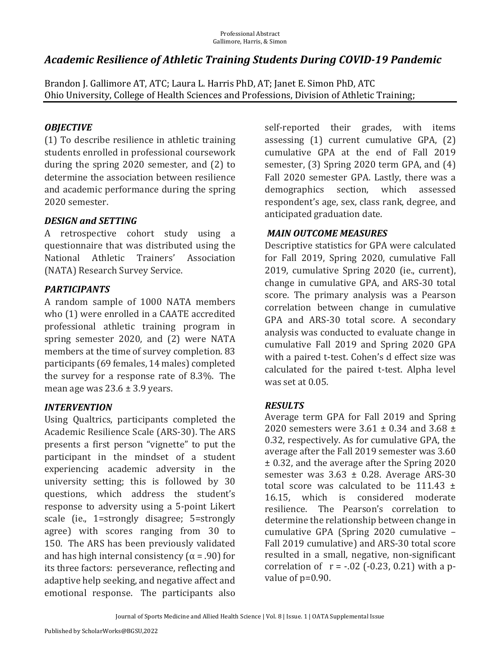### *Academic Resilience of Athletic Training Students During COVID-19 Pandemic*

Brandon J. Gallimore AT, ATC; Laura L. Harris PhD, AT; Janet E. Simon PhD, ATC Ohio University, College of Health Sciences and Professions, Division of Athletic Training;

#### *OBJECTIVE*

 $(1)$  To describe resilience in athletic training students enrolled in professional coursework during the spring  $2020$  semester, and  $(2)$  to determine the association between resilience and academic performance during the spring 2020 semester.

#### *DESIGN.and.SETTING*

A retrospective cohort study using a questionnaire that was distributed using the National Athletic Trainers' Association (NATA) Research Survey Service.

### *PARTICIPANTS*

A random sample of 1000 NATA members who (1) were enrolled in a CAATE accredited professional athletic training program in spring semester  $2020$ , and  $(2)$  were NATA members at the time of survey completion. 83 participants (69 females, 14 males) completed the survey for a response rate of  $8.3\%$ . The mean age was  $23.6 \pm 3.9$  years.

### *INTERVENTION*

Using Qualtrics, participants completed the Academic Resilience Scale (ARS-30). The ARS presents a first person "vignette" to put the participant in the mindset of a student experiencing academic adversity in the university setting; this is followed by 30 questions, which address the student's response to adversity using a 5-point Likert scale (ie., 1=strongly disagree; 5=strongly agree) with scores ranging from 30 to 150. The ARS has been previously validated and has high internal consistency  $(\alpha = .90)$  for its three factors: perseverance, reflecting and adaptive help seeking, and negative affect and emotional response. The participants also

self-reported their grades, with items assessing  $(1)$  current cumulative GPA,  $(2)$ cumulative GPA at the end of Fall 2019 semester,  $(3)$  Spring 2020 term GPA, and  $(4)$ Fall 2020 semester GPA. Lastly, there was a demographics section, which assessed respondent's age, sex, class rank, degree, and anticipated graduation date.

#### *MAIN.OUTCOME.MEASURES*

Descriptive statistics for GPA were calculated for Fall 2019, Spring 2020, cumulative Fall 2019, cumulative Spring 2020 (ie., current), change in cumulative GPA, and ARS-30 total score. The primary analysis was a Pearson correlation between change in cumulative GPA and ARS-30 total score. A secondary analysis was conducted to evaluate change in cumulative Fall 2019 and Spring 2020 GPA with a paired t-test. Cohen's d effect size was calculated for the paired t-test. Alpha level was set at  $0.05$ .

#### *RESULTS*

Average term GPA for Fall 2019 and Spring 2020 semesters were  $3.61 \pm 0.34$  and  $3.68 \pm 1.5$ 0.32, respectively. As for cumulative GPA, the average after the Fall 2019 semester was 3.60  $\pm$  0.32, and the average after the Spring 2020 semester was  $3.63 \pm 0.28$ . Average ARS-30 total score was calculated to be  $111.43 \pm$ 16.15, which is considered moderate resilience. The Pearson's correlation to determine the relationship between change in cumulative GPA (Spring 2020 cumulative -Fall 2019 cumulative) and ARS-30 total score resulted in a small, negative, non-significant correlation of  $r = -.02$  ( $-0.23$ ,  $0.21$ ) with a pvalue of  $p=0.90$ .